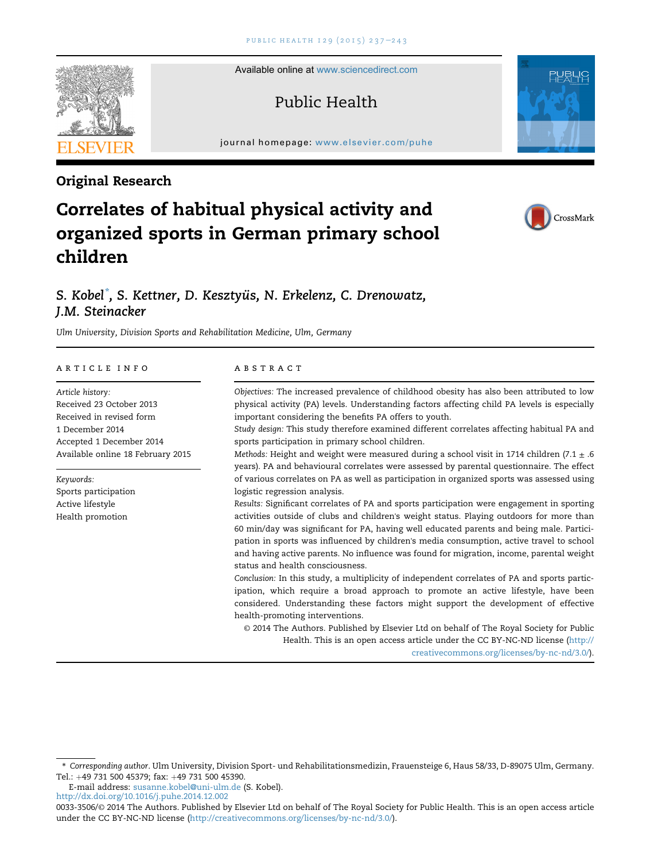Available online at [www.sciencedirect.com](www.sciencedirect.com/science/journal/00333506)

## Public Health

journal homepage: <www.elsevier.com/puhe>r.com/puher.com/puher.com/puher.com/puher.com/puher.com/puher.com/puher.com/puher.com/puher.com/puher.com/puher.com/puher.com/puher.com/puher.com/puher.com/puher.com/puher.com/puher.



# Correlates of habitual physical activity and organized sports in German primary school children



## S. Kobel $\degree$ , S. Kettner, D. Kesztyüs, N. Erkelenz, C. Drenowatz, J.M. Steinacker

Ulm University, Division Sports and Rehabilitation Medicine, Ulm, Germany

#### article info

Article history: Received 23 October 2013 Received in revised form 1 December 2014 Accepted 1 December 2014 Available online 18 February 2015

Keywords: Sports participation Active lifestyle Health promotion

#### **ABSTRACT**

Objectives: The increased prevalence of childhood obesity has also been attributed to low physical activity (PA) levels. Understanding factors affecting child PA levels is especially important considering the benefits PA offers to youth.

Study design: This study therefore examined different correlates affecting habitual PA and sports participation in primary school children.

Methods: Height and weight were measured during a school visit in 1714 children (7.1  $\pm$  .6 years). PA and behavioural correlates were assessed by parental questionnaire. The effect of various correlates on PA as well as participation in organized sports was assessed using logistic regression analysis.

Results: Significant correlates of PA and sports participation were engagement in sporting activities outside of clubs and children's weight status. Playing outdoors for more than 60 min/day was significant for PA, having well educated parents and being male. Participation in sports was influenced by children's media consumption, active travel to school and having active parents. No influence was found for migration, income, parental weight status and health consciousness.

Conclusion: In this study, a multiplicity of independent correlates of PA and sports participation, which require a broad approach to promote an active lifestyle, have been considered. Understanding these factors might support the development of effective health-promoting interventions.

© 2014 The Authors. Published by Elsevier Ltd on behalf of The Royal Society for Public Health. This is an open access article under the CC BY-NC-ND license ([http://](http://creativecommons.org/licenses/by-nc-nd/3.�0/) [creativecommons.org/licenses/by-nc-nd/3.0/\)](http://creativecommons.org/licenses/by-nc-nd/3.�0/).

\* Corresponding author. Ulm University, Division Sport- und Rehabilitationsmedizin, Frauensteige 6, Haus 58/33, D-89075 Ulm, Germany. Tel.: +49 731 500 45379; fax: +49 731 500 45390.

E-mail address: [susanne.kobel@uni-ulm.de](mailto:susanne.kobel@uni-ulm.de) (S. Kobel).

<http://dx.doi.org/10.1016/j.puhe.2014.12.002>



Original Research

<sup>0033-3506/</sup>© 2014 The Authors. Published by Elsevier Ltd on behalf of The Royal Society for Public Health. This is an open access article under the CC BY-NC-ND license [\(http://creativecommons.org/licenses/by-nc-nd/3.0/\)](http://creativecommons.org/licenses/by-nc-nd/3.�0/).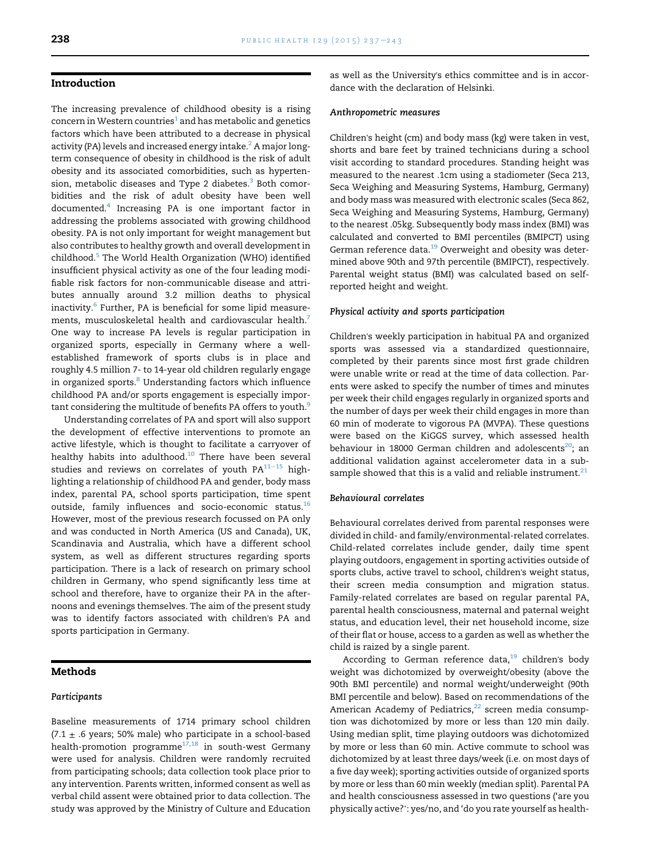#### Introduction

The increasing prevalence of childhood obesity is a rising concern in Western countries $1$  and has metabolic and genetics factors which have been attributed to a decrease in physical activity (PA) levels and increased energy intake.<sup>2</sup> A major longterm consequence of obesity in childhood is the risk of adult obesity and its associated comorbidities, such as hypertension, metabolic diseases and Type 2 diabetes. $3$  Both comorbidities and the risk of adult obesity have been well documented.[4](#page-4-0) Increasing PA is one important factor in addressing the problems associated with growing childhood obesity. PA is not only important for weight management but also contributes to healthy growth and overall development in childhood.[5](#page-4-0) The World Health Organization (WHO) identified insufficient physical activity as one of the four leading modifiable risk factors for non-communicable disease and attributes annually around 3.2 million deaths to physical inactivity. $6$  Further, PA is beneficial for some lipid measurements, musculoskeletal health and cardiovascular health.<sup>7</sup> One way to increase PA levels is regular participation in organized sports, especially in Germany where a wellestablished framework of sports clubs is in place and roughly 4.5 million 7- to 14-year old children regularly engage in organized sports.<sup>[8](#page-5-0)</sup> Understanding factors which influence childhood PA and/or sports engagement is especially important considering the multitude of benefits PA offers to youth.<sup>9</sup>

Understanding correlates of PA and sport will also support the development of effective interventions to promote an active lifestyle, which is thought to facilitate a carryover of healthy habits into adulthood. $10$  There have been several studies and reviews on correlates of youth  $PA^{11-15}$  $PA^{11-15}$  $PA^{11-15}$  highlighting a relationship of childhood PA and gender, body mass index, parental PA, school sports participation, time spent outside, family influences and socio-economic status.<sup>[16](#page-5-0)</sup> However, most of the previous research focussed on PA only and was conducted in North America (US and Canada), UK, Scandinavia and Australia, which have a different school system, as well as different structures regarding sports participation. There is a lack of research on primary school children in Germany, who spend significantly less time at school and therefore, have to organize their PA in the afternoons and evenings themselves. The aim of the present study was to identify factors associated with children's PA and sports participation in Germany.

### Methods

#### Participants

Baseline measurements of 1714 primary school children  $(7.1 \pm .6 \text{ years}; 50\% \text{ male})$  who participate in a school-based health-promotion programme<sup>[17,18](#page-5-0)</sup> in south-west Germany were used for analysis. Children were randomly recruited from participating schools; data collection took place prior to any intervention. Parents written, informed consent as well as verbal child assent were obtained prior to data collection. The study was approved by the Ministry of Culture and Education as well as the University's ethics committee and is in accordance with the declaration of Helsinki.

#### Anthropometric measures

Children's height (cm) and body mass (kg) were taken in vest, shorts and bare feet by trained technicians during a school visit according to standard procedures. Standing height was measured to the nearest .1cm using a stadiometer (Seca 213, Seca Weighing and Measuring Systems, Hamburg, Germany) and body mass was measured with electronic scales (Seca 862, Seca Weighing and Measuring Systems, Hamburg, Germany) to the nearest .05kg. Subsequently body mass index (BMI) was calculated and converted to BMI percentiles (BMIPCT) using German reference data.<sup>19</sup> Overweight and obesity was determined above 90th and 97th percentile (BMIPCT), respectively. Parental weight status (BMI) was calculated based on selfreported height and weight.

#### Physical activity and sports participation

Children's weekly participation in habitual PA and organized sports was assessed via a standardized questionnaire, completed by their parents since most first grade children were unable write or read at the time of data collection. Parents were asked to specify the number of times and minutes per week their child engages regularly in organized sports and the number of days per week their child engages in more than 60 min of moderate to vigorous PA (MVPA). These questions were based on the KiGGS survey, which assessed health behaviour in 18000 German children and adolescents<sup>[20](#page-5-0)</sup>; an additional validation against accelerometer data in a subsample showed that this is a valid and reliable instrument. $21$ 

#### Behavioural correlates

Behavioural correlates derived from parental responses were divided in child- and family/environmental-related correlates. Child-related correlates include gender, daily time spent playing outdoors, engagement in sporting activities outside of sports clubs, active travel to school, children's weight status, their screen media consumption and migration status. Family-related correlates are based on regular parental PA, parental health consciousness, maternal and paternal weight status, and education level, their net household income, size of their flat or house, access to a garden as well as whether the child is raized by a single parent.

According to German reference data,<sup>19</sup> children's body weight was dichotomized by overweight/obesity (above the 90th BMI percentile) and normal weight/underweight (90th BMI percentile and below). Based on recommendations of the American Academy of Pediatrics, $22$  screen media consumption was dichotomized by more or less than 120 min daily. Using median split, time playing outdoors was dichotomized by more or less than 60 min. Active commute to school was dichotomized by at least three days/week (i.e. on most days of a five day week); sporting activities outside of organized sports by more or less than 60 min weekly (median split). Parental PA and health consciousness assessed in two questions ('are you physically active?': yes/no, and 'do you rate yourself as health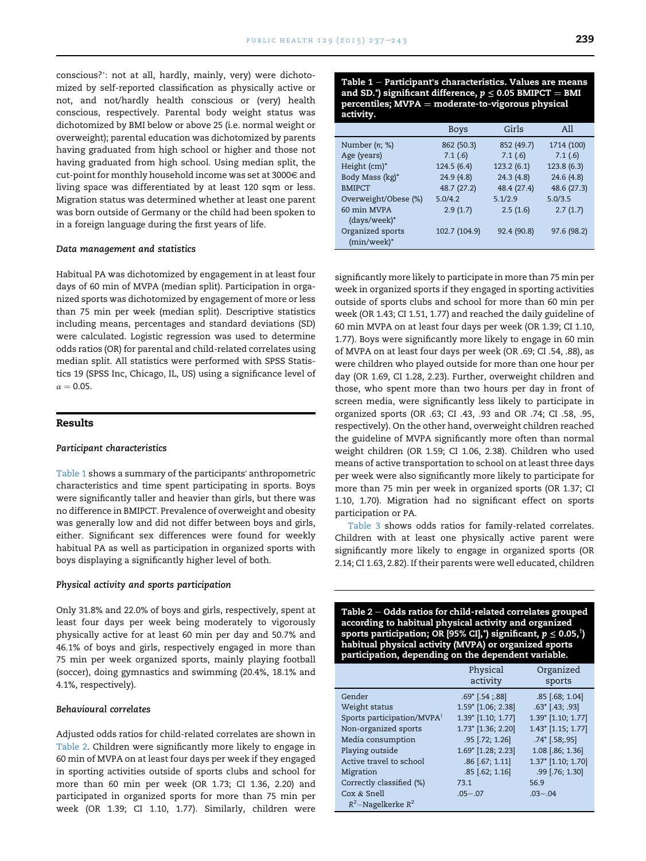conscious?': not at all, hardly, mainly, very) were dichotomized by self-reported classification as physically active or not, and not/hardly health conscious or (very) health conscious, respectively. Parental body weight status was dichotomized by BMI below or above 25 (i.e. normal weight or overweight); parental education was dichotomized by parents having graduated from high school or higher and those not having graduated from high school. Using median split, the cut-point for monthly household income was set at 3000 $\in$  and living space was differentiated by at least 120 sqm or less. Migration status was determined whether at least one parent was born outside of Germany or the child had been spoken to in a foreign language during the first years of life.

#### Data management and statistics

Habitual PA was dichotomized by engagement in at least four days of 60 min of MVPA (median split). Participation in organized sports was dichotomized by engagement of more or less than 75 min per week (median split). Descriptive statistics including means, percentages and standard deviations (SD) were calculated. Logistic regression was used to determine odds ratios (OR) for parental and child-related correlates using median split. All statistics were performed with SPSS Statistics 19 (SPSS Inc, Chicago, IL, US) using a significance level of  $\alpha = 0.05$ .

#### Results

#### Participant characteristics

Table 1 shows a summary of the participants' anthropometric characteristics and time spent participating in sports. Boys were significantly taller and heavier than girls, but there was no difference in BMIPCT. Prevalence of overweight and obesity was generally low and did not differ between boys and girls, either. Significant sex differences were found for weekly habitual PA as well as participation in organized sports with boys displaying a significantly higher level of both.

#### Physical activity and sports participation

Only 31.8% and 22.0% of boys and girls, respectively, spent at least four days per week being moderately to vigorously physically active for at least 60 min per day and 50.7% and 46.1% of boys and girls, respectively engaged in more than 75 min per week organized sports, mainly playing football (soccer), doing gymnastics and swimming (20.4%, 18.1% and 4.1%, respectively).

#### Behavioural correlates

Adjusted odds ratios for child-related correlates are shown in Table 2. Children were significantly more likely to engage in 60 min of MVPA on at least four days per week if they engaged in sporting activities outside of sports clubs and school for more than 60 min per week (OR 1.73; CI 1.36, 2.20) and participated in organized sports for more than 75 min per week (OR 1.39; CI 1.10, 1.77). Similarly, children were Table  $1$  – Participant's characteristics. Values are means and SD.\*) significant difference,  $p \le 0.05$  BMIPCT = BMI  $percentiles$ ; MVPA  $=$  moderate-to-vigorous physical activity.

|                      | <b>Boys</b>   | Girls       | All         |
|----------------------|---------------|-------------|-------------|
| Number $(n; \%)$     | 862 (50.3)    | 852 (49.7)  | 1714 (100)  |
| Age (years)          | 7.1(6)        | 7.1(6)      | 7.1(6)      |
| Height (cm)*         | 124.5 (6.4)   | 123.2(6.1)  | 123.8(6.3)  |
| Body Mass (kg)*      | 24.9(4.8)     | 24.3(4.8)   | 24.6(4.8)   |
| <b>BMIPCT</b>        | 48.7 (27.2)   | 48.4 (27.4) | 48.6 (27.3) |
| Overweight/Obese (%) | 5.0/4.2       | 5.1/2.9     | 5.0/3.5     |
| 60 min MVPA          | 2.9(1.7)      | 2.5(1.6)    | 2.7(1.7)    |
| (days/week)*         |               |             |             |
| Organized sports     | 102.7 (104.9) | 92.4 (90.8) | 97.6 (98.2) |
| $(min/week)^*$       |               |             |             |

significantly more likely to participate in more than 75 min per week in organized sports if they engaged in sporting activities outside of sports clubs and school for more than 60 min per week (OR 1.43; CI 1.51, 1.77) and reached the daily guideline of 60 min MVPA on at least four days per week (OR 1.39; CI 1.10, 1.77). Boys were significantly more likely to engage in 60 min of MVPA on at least four days per week (OR .69; CI .54, .88), as were children who played outside for more than one hour per day (OR 1.69, CI 1.28, 2.23). Further, overweight children and those, who spent more than two hours per day in front of screen media, were significantly less likely to participate in organized sports (OR .63; CI .43, .93 and OR .74; CI .58, .95, respectively). On the other hand, overweight children reached the guideline of MVPA significantly more often than normal weight children (OR 1.59; CI 1.06, 2.38). Children who used means of active transportation to school on at least three days per week were also significantly more likely to participate for more than 75 min per week in organized sports (OR 1.37; CI 1.10, 1.70). Migration had no significant effect on sports participation or PA.

[Table 3](#page-3-0) shows odds ratios for family-related correlates. Children with at least one physically active parent were significantly more likely to engage in organized sports (OR 2.14; CI 1.63, 2.82). If their parents were well educated, children

Table  $2$  – Odds ratios for child-related correlates grouped according to habitual physical activity and organized sports participation; OR [95% CI],\*) significant,  $p \leq 0.05,$ ') habitual physical activity (MVPA) or organized sports participation, depending on the dependent variable.

|                                        | Physical<br>activity     | Organized<br>sports           |
|----------------------------------------|--------------------------|-------------------------------|
| Gender                                 | $.69^{\circ}$ [.54; .88] | $.85$ [.68; 1.04]             |
| Weight status                          | 1.59* [1.06; 2.38]       | $.63$ <sup>*</sup> [.43; .93] |
| Sports participation/MVPA <sup>†</sup> | 1.39* [1.10; 1.77]       | 1.39* [1.10; 1.77]            |
| Non-organized sports                   | 1.73* [1.36; 2.20]       | 1.43* [1.15; 1.77]            |
| Media consumption                      | $.95$ [.72; 1.26]        | $.74$ [.58;.95]               |
| Playing outside                        | 1.69* [1.28; 2.23]       | 1.08 [.86; 1.36]              |
| Active travel to school                | .86 [.67; 1.11]          | 1.37* [1.10; 1.70]            |
| Migration                              | $.85$ $(.62; 1.16]$      | .99 [.76; 1.30]               |
| Correctly classified (%)               | 73.1                     | 56.9                          |
| Cox & Snell                            | $.05 - .07$              | $.03 - .04$                   |
| $R^2$ –Nagelkerke $R^2$                |                          |                               |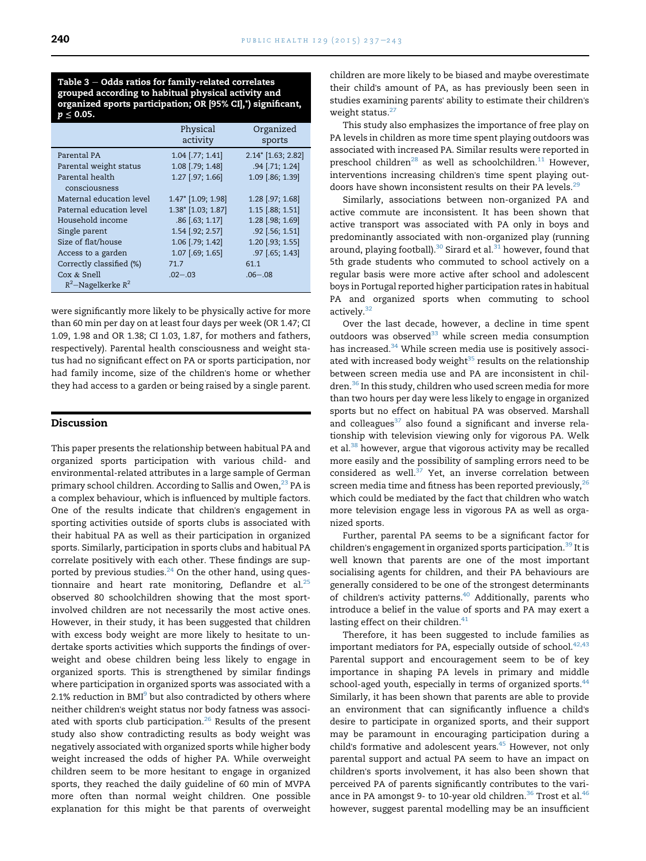<span id="page-3-0"></span>Table  $3 -$  Odds ratios for family-related correlates grouped according to habitual physical activity and organized sports participation; OR [95% CI],\*) significant,  $p < 0.05$ .

|                          | Physical<br>activity | Organized<br>sports |
|--------------------------|----------------------|---------------------|
| Parental PA              | $1.04$ [.77; 1.41]   | 2.14* [1.63; 2.82]  |
| Parental weight status   | 1.08 [.79; 1.48]     | .94 [.71; 1.24]     |
| Parental health          | 1.27 [.97; 1.66]     | 1.09 [.86; 1.39]    |
| consciousness            |                      |                     |
| Maternal education level | 1.47* [1.09; 1.98]   | 1.28 [.97; 1.68]    |
| Paternal education level | 1.38* [1.03; 1.87]   | 1.15 [.88; 1.51]    |
| Household income         | $.86$ [.63; 1.17]    | 1.28 [.98; 1.69]    |
| Single parent            | 1.54 [.92; 2.57]     | $.92$ [.56; 1.51]   |
| Size of flat/house       | 1.06 [.79; 1.42]     | 1.20 [.93; 1.55]    |
| Access to a garden       | 1.07 [.69; 1.65]     | $.97$ [.65; 1.43]   |
| Correctly classified (%) | 71.7                 | 61.1                |
| Cox & Snell              | $.02 - .03$          | $.06 - .08$         |
| $R^2$ -Nagelkerke $R^2$  |                      |                     |

were significantly more likely to be physically active for more than 60 min per day on at least four days per week (OR 1.47; CI 1.09, 1.98 and OR 1.38; CI 1.03, 1.87, for mothers and fathers, respectively). Parental health consciousness and weight status had no significant effect on PA or sports participation, nor had family income, size of the children's home or whether they had access to a garden or being raised by a single parent.

#### Discussion

This paper presents the relationship between habitual PA and organized sports participation with various child- and environmental-related attributes in a large sample of German primary school children. According to Sallis and Owen, $^{23}$  PA is a complex behaviour, which is influenced by multiple factors. One of the results indicate that children's engagement in sporting activities outside of sports clubs is associated with their habitual PA as well as their participation in organized sports. Similarly, participation in sports clubs and habitual PA correlate positively with each other. These findings are supported by previous studies. $24$  On the other hand, using questionnaire and heart rate monitoring, Deflandre et al. $25$ observed 80 schoolchildren showing that the most sportinvolved children are not necessarily the most active ones. However, in their study, it has been suggested that children with excess body weight are more likely to hesitate to undertake sports activities which supports the findings of overweight and obese children being less likely to engage in organized sports. This is strengthened by similar findings where participation in organized sports was associated with a 2.1% reduction in BMI $<sup>9</sup>$  but also contradicted by others where</sup> neither children's weight status nor body fatness was associated with sports club participation.<sup>26</sup> Results of the present study also show contradicting results as body weight was negatively associated with organized sports while higher body weight increased the odds of higher PA. While overweight children seem to be more hesitant to engage in organized sports, they reached the daily guideline of 60 min of MVPA more often than normal weight children. One possible explanation for this might be that parents of overweight children are more likely to be biased and maybe overestimate their child's amount of PA, as has previously been seen in studies examining parents' ability to estimate their children's weight status.<sup>27</sup>

This study also emphasizes the importance of free play on PA levels in children as more time spent playing outdoors was associated with increased PA. Similar results were reported in preschool children<sup>28</sup> as well as schoolchildren.<sup>[11](#page-5-0)</sup> However, interventions increasing children's time spent playing outdoors have shown inconsistent results on their PA levels.<sup>29</sup>

Similarly, associations between non-organized PA and active commute are inconsistent. It has been shown that active transport was associated with PA only in boys and predominantly associated with non-organized play (running around, playing football).<sup>30</sup> Sirard et al.<sup>[31](#page-5-0)</sup> however, found that 5th grade students who commuted to school actively on a regular basis were more active after school and adolescent boys in Portugal reported higher participation rates in habitual PA and organized sports when commuting to school actively.<sup>[32](#page-5-0)</sup>

Over the last decade, however, a decline in time spent outdoors was observed $33$  while screen media consumption has increased.<sup>[34](#page-5-0)</sup> While screen media use is positively associated with increased body weight $35$  results on the relationship between screen media use and PA are inconsistent in children.[36](#page-5-0) In this study, children who used screen media for more than two hours per day were less likely to engage in organized sports but no effect on habitual PA was observed. Marshall and colleagues $37$  also found a significant and inverse relationship with television viewing only for vigorous PA. Welk et al.<sup>[38](#page-5-0)</sup> however, argue that vigorous activity may be recalled more easily and the possibility of sampling errors need to be considered as well.<sup>[37](#page-5-0)</sup> Yet, an inverse correlation between screen media time and fitness has been reported previously,  $26$ which could be mediated by the fact that children who watch more television engage less in vigorous PA as well as organized sports.

Further, parental PA seems to be a significant factor for children's engagement in organized sports participation.<sup>39</sup> It is well known that parents are one of the most important socialising agents for children, and their PA behaviours are generally considered to be one of the strongest determinants of children's activity patterns.<sup>[40](#page-5-0)</sup> Additionally, parents who introduce a belief in the value of sports and PA may exert a lasting effect on their children. $41$ 

Therefore, it has been suggested to include families as important mediators for PA, especially outside of school. $42,43$ Parental support and encouragement seem to be of key importance in shaping PA levels in primary and middle school-aged youth, especially in terms of organized sports.<sup>[44](#page-5-0)</sup> Similarly, it has been shown that parents are able to provide an environment that can significantly influence a child's desire to participate in organized sports, and their support may be paramount in encouraging participation during a child's formative and adolescent years.<sup>[45](#page-6-0)</sup> However, not only parental support and actual PA seem to have an impact on children's sports involvement, it has also been shown that perceived PA of parents significantly contributes to the vari-ance in PA amongst 9- to 10-year old children.<sup>[36](#page-5-0)</sup> Trost et al.<sup>[46](#page-6-0)</sup> however, suggest parental modelling may be an insufficient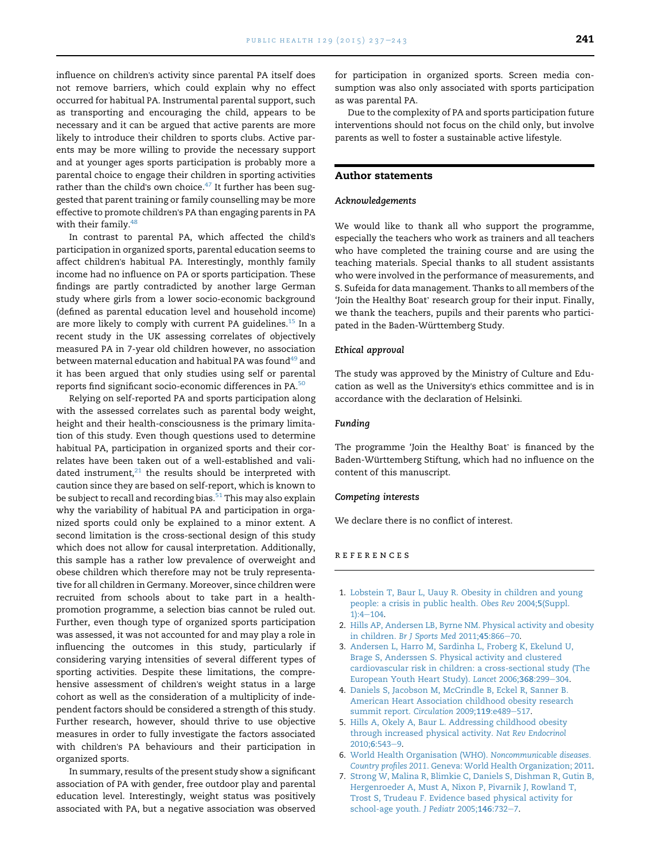<span id="page-4-0"></span>influence on children's activity since parental PA itself does not remove barriers, which could explain why no effect occurred for habitual PA. Instrumental parental support, such as transporting and encouraging the child, appears to be necessary and it can be argued that active parents are more likely to introduce their children to sports clubs. Active parents may be more willing to provide the necessary support and at younger ages sports participation is probably more a parental choice to engage their children in sporting activities rather than the child's own choice. $47$  It further has been suggested that parent training or family counselling may be more effective to promote children's PA than engaging parents in PA with their family. $48$ 

In contrast to parental PA, which affected the child's participation in organized sports, parental education seems to affect children's habitual PA. Interestingly, monthly family income had no influence on PA or sports participation. These findings are partly contradicted by another large German study where girls from a lower socio-economic background (defined as parental education level and household income) are more likely to comply with current PA guidelines.<sup>[15](#page-5-0)</sup> In a recent study in the UK assessing correlates of objectively measured PA in 7-year old children however, no association between maternal education and habitual PA was found<sup>[49](#page-6-0)</sup> and it has been argued that only studies using self or parental reports find significant socio-economic differences in PA.[50](#page-6-0)

Relying on self-reported PA and sports participation along with the assessed correlates such as parental body weight, height and their health-consciousness is the primary limitation of this study. Even though questions used to determine habitual PA, participation in organized sports and their correlates have been taken out of a well-established and validated instrument, $21$  the results should be interpreted with caution since they are based on self-report, which is known to be subject to recall and recording bias. $51$  This may also explain why the variability of habitual PA and participation in organized sports could only be explained to a minor extent. A second limitation is the cross-sectional design of this study which does not allow for causal interpretation. Additionally, this sample has a rather low prevalence of overweight and obese children which therefore may not be truly representative for all children in Germany. Moreover, since children were recruited from schools about to take part in a healthpromotion programme, a selection bias cannot be ruled out. Further, even though type of organized sports participation was assessed, it was not accounted for and may play a role in influencing the outcomes in this study, particularly if considering varying intensities of several different types of sporting activities. Despite these limitations, the comprehensive assessment of children's weight status in a large cohort as well as the consideration of a multiplicity of independent factors should be considered a strength of this study. Further research, however, should thrive to use objective measures in order to fully investigate the factors associated with children's PA behaviours and their participation in organized sports.

In summary, results of the present study show a significant association of PA with gender, free outdoor play and parental education level. Interestingly, weight status was positively associated with PA, but a negative association was observed for participation in organized sports. Screen media consumption was also only associated with sports participation as was parental PA.

Due to the complexity of PA and sports participation future interventions should not focus on the child only, but involve parents as well to foster a sustainable active lifestyle.

#### Author statements

#### Acknowledgements

We would like to thank all who support the programme, especially the teachers who work as trainers and all teachers who have completed the training course and are using the teaching materials. Special thanks to all student assistants who were involved in the performance of measurements, and S. Sufeida for data management. Thanks to all members of the 'Join the Healthy Boat' research group for their input. Finally, we thank the teachers, pupils and their parents who participated in the Baden-Württemberg Study.

#### Ethical approval

The study was approved by the Ministry of Culture and Education as well as the University's ethics committee and is in accordance with the declaration of Helsinki.

#### Funding

The programme 'Join the Healthy Boat' is financed by the Baden-Württemberg Stiftung, which had no influence on the content of this manuscript.

#### Competing interests

We declare there is no conflict of interest.

#### references

- 1. [Lobstein T, Baur L, Uauy R. Obesity in children and young](http://refhub.elsevier.com/S0033-3506(14)00340-0/sref1) [people: a crisis in public health.](http://refhub.elsevier.com/S0033-3506(14)00340-0/sref1) Obes Rev 2004;5(Suppl.  $1):4-104.$  $1):4-104.$  $1):4-104.$
- 2. [Hills AP, Andersen LB, Byrne NM. Physical activity and obesity](http://refhub.elsevier.com/S0033-3506(14)00340-0/sref2) in children. [Br J Sports Med](http://refhub.elsevier.com/S0033-3506(14)00340-0/sref2) 2011;45:866-[70](http://refhub.elsevier.com/S0033-3506(14)00340-0/sref2).
- 3. [Andersen L, Harro M, Sardinha L, Froberg K, Ekelund U,](http://refhub.elsevier.com/S0033-3506(14)00340-0/sref3) [Brage S, Anderssen S. Physical activity and clustered](http://refhub.elsevier.com/S0033-3506(14)00340-0/sref3) [cardiovascular risk in children: a cross-sectional study \(The](http://refhub.elsevier.com/S0033-3506(14)00340-0/sref3) [European Youth Heart Study\).](http://refhub.elsevier.com/S0033-3506(14)00340-0/sref3) Lancet 2006;368:299-[304.](http://refhub.elsevier.com/S0033-3506(14)00340-0/sref3)
- 4. [Daniels S, Jacobson M, McCrindle B, Eckel R, Sanner B.](http://refhub.elsevier.com/S0033-3506(14)00340-0/sref4) [American Heart Association childhood obesity research](http://refhub.elsevier.com/S0033-3506(14)00340-0/sref4) [summit report.](http://refhub.elsevier.com/S0033-3506(14)00340-0/sref4) Circulation 2009;119:e489-[517](http://refhub.elsevier.com/S0033-3506(14)00340-0/sref4).
- 5. [Hills A, Okely A, Baur L. Addressing childhood obesity](http://refhub.elsevier.com/S0033-3506(14)00340-0/sref5) [through increased physical activity.](http://refhub.elsevier.com/S0033-3506(14)00340-0/sref5) Nat Rev Endocrinol  $2010:6:543-9.$  $2010:6:543-9.$  $2010:6:543-9.$
- 6. [World Health Organisation \(WHO\).](http://refhub.elsevier.com/S0033-3506(14)00340-0/sref6) Noncommunicable diseases. Country profiles 2011[. Geneva: World Health Organization; 2011.](http://refhub.elsevier.com/S0033-3506(14)00340-0/sref6)
- 7. [Strong W, Malina R, Blimkie C, Daniels S, Dishman R, Gutin B,](http://refhub.elsevier.com/S0033-3506(14)00340-0/sref7) [Hergenroeder A, Must A, Nixon P, Pivarnik J, Rowland T,](http://refhub.elsevier.com/S0033-3506(14)00340-0/sref7) [Trost S, Trudeau F. Evidence based physical activity for](http://refhub.elsevier.com/S0033-3506(14)00340-0/sref7) [school-age youth.](http://refhub.elsevier.com/S0033-3506(14)00340-0/sref7) J Pediatr  $2005;146:732-7$  $2005;146:732-7$  $2005;146:732-7$ .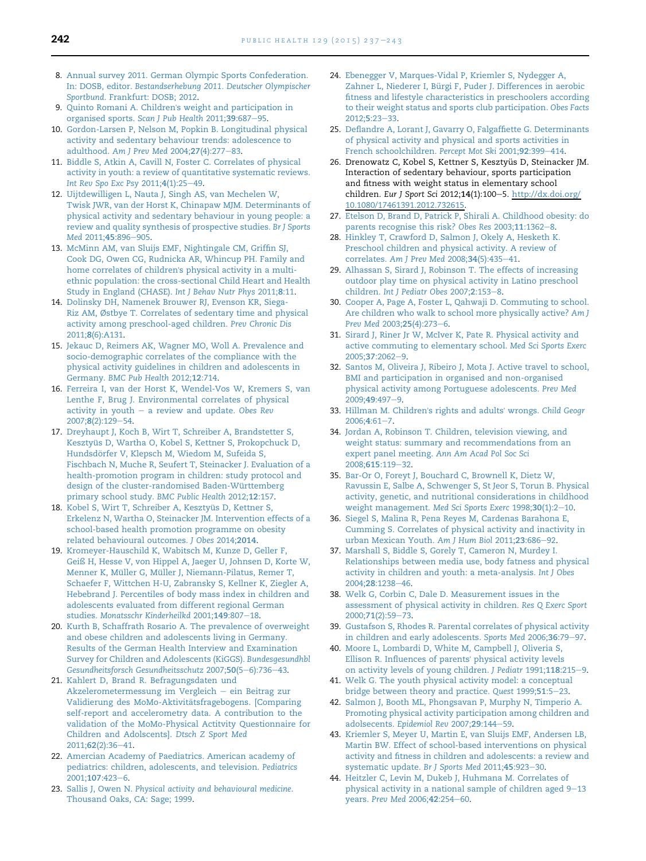- <span id="page-5-0"></span>8. [Annual survey 2011. German Olympic Sports Confederation.](http://refhub.elsevier.com/S0033-3506(14)00340-0/sref8) In: DOSB, editor. [Bestandserhebung 2011. Deutscher Olympischer](http://refhub.elsevier.com/S0033-3506(14)00340-0/sref8) Sportbund[. Frankfurt: DOSB; 2012.](http://refhub.elsevier.com/S0033-3506(14)00340-0/sref8)
- 9. Quinto Romani A. Children'[s weight and participation in](http://refhub.elsevier.com/S0033-3506(14)00340-0/sref9) [organised sports.](http://refhub.elsevier.com/S0033-3506(14)00340-0/sref9) Scan J Pub Health 2011;39:687-[95.](http://refhub.elsevier.com/S0033-3506(14)00340-0/sref9)
- 10. [Gordon-Larsen P, Nelson M, Popkin B. Longitudinal physical](http://refhub.elsevier.com/S0033-3506(14)00340-0/sref10) [activity and sedentary behaviour trends: adolescence to](http://refhub.elsevier.com/S0033-3506(14)00340-0/sref10) adulthood. [Am J Prev Med](http://refhub.elsevier.com/S0033-3506(14)00340-0/sref10) 2004;27(4):277-[83.](http://refhub.elsevier.com/S0033-3506(14)00340-0/sref10)
- 11. [Biddle S, Atkin A, Cavill N, Foster C. Correlates of physical](http://refhub.elsevier.com/S0033-3506(14)00340-0/sref11) [activity in youth: a review of quantitative systematic reviews.](http://refhub.elsevier.com/S0033-3506(14)00340-0/sref11) [Int Rev Spo Exc Psy](http://refhub.elsevier.com/S0033-3506(14)00340-0/sref11) 2011;4(1):25-[49.](http://refhub.elsevier.com/S0033-3506(14)00340-0/sref11)
- 12. [Uijtdewilligen L, Nauta J, Singh AS, van Mechelen W,](http://refhub.elsevier.com/S0033-3506(14)00340-0/sref12) [Twisk JWR, van der Horst K, Chinapaw MJM. Determinants of](http://refhub.elsevier.com/S0033-3506(14)00340-0/sref12) [physical activity and sedentary behaviour in young people: a](http://refhub.elsevier.com/S0033-3506(14)00340-0/sref12) [review and quality synthesis of prospective studies.](http://refhub.elsevier.com/S0033-3506(14)00340-0/sref12) Br J Sports Med [2011;](http://refhub.elsevier.com/S0033-3506(14)00340-0/sref12)45:896-[905](http://refhub.elsevier.com/S0033-3506(14)00340-0/sref12).
- 13. [McMinn AM, van Sluijs EMF, Nightingale CM, Griffin SJ,](http://refhub.elsevier.com/S0033-3506(14)00340-0/sref13) [Cook DG, Owen CG, Rudnicka AR, Whincup PH. Family and](http://refhub.elsevier.com/S0033-3506(14)00340-0/sref13) home correlates of children'[s physical activity in a multi](http://refhub.elsevier.com/S0033-3506(14)00340-0/sref13)[ethnic population: the cross-sectional Child Heart and Health](http://refhub.elsevier.com/S0033-3506(14)00340-0/sref13) [Study in England \(CHASE\).](http://refhub.elsevier.com/S0033-3506(14)00340-0/sref13) Int J Behav Nutr Phys 2011;8:11.
- 14. [Dolinsky DH, Namenek Brouwer RJ, Evenson KR, Siega-](http://refhub.elsevier.com/S0033-3506(14)00340-0/sref14)[Riz AM, Østbye T. Correlates of sedentary time and physical](http://refhub.elsevier.com/S0033-3506(14)00340-0/sref14) [activity among preschool-aged children.](http://refhub.elsevier.com/S0033-3506(14)00340-0/sref14) Prev Chronic Dis 2011;8[\(6\):A131](http://refhub.elsevier.com/S0033-3506(14)00340-0/sref14).
- 15. [Jekauc D, Reimers AK, Wagner MO, Woll A. Prevalence and](http://refhub.elsevier.com/S0033-3506(14)00340-0/sref15) [socio-demographic correlates of the compliance with the](http://refhub.elsevier.com/S0033-3506(14)00340-0/sref15) [physical activity guidelines in children and adolescents in](http://refhub.elsevier.com/S0033-3506(14)00340-0/sref15) Germany. [BMC Pub Health](http://refhub.elsevier.com/S0033-3506(14)00340-0/sref15) 2012;12:714.
- 16. [Ferreira I, van der Horst K, Wendel-Vos W, Kremers S, van](http://refhub.elsevier.com/S0033-3506(14)00340-0/sref16) [Lenthe F, Brug J. Environmental correlates of physical](http://refhub.elsevier.com/S0033-3506(14)00340-0/sref16) [activity in youth](http://refhub.elsevier.com/S0033-3506(14)00340-0/sref16)  $-$  [a review and update.](http://refhub.elsevier.com/S0033-3506(14)00340-0/sref16) Obes Rev 2007;8[\(2\):129](http://refhub.elsevier.com/S0033-3506(14)00340-0/sref16)-[54.](http://refhub.elsevier.com/S0033-3506(14)00340-0/sref16)
- 17. [Dreyhaupt J, Koch B, Wirt T, Schreiber A, Brandstetter S,](http://refhub.elsevier.com/S0033-3506(14)00340-0/sref17) Kesztyü[s D, Wartha O, Kobel S, Kettner S, Prokopchuck D,](http://refhub.elsevier.com/S0033-3506(14)00340-0/sref17) [Hundsd](http://refhub.elsevier.com/S0033-3506(14)00340-0/sref17)ö[rfer V, Klepsch M, Wiedom M, Sufeida S,](http://refhub.elsevier.com/S0033-3506(14)00340-0/sref17) [Fischbach N, Muche R, Seufert T, Steinacker J. Evaluation of a](http://refhub.elsevier.com/S0033-3506(14)00340-0/sref17) [health-promotion program in children: study protocol and](http://refhub.elsevier.com/S0033-3506(14)00340-0/sref17) design of the cluster-randomised Baden-Württemberg [primary school study.](http://refhub.elsevier.com/S0033-3506(14)00340-0/sref17) BMC Public Health 2012;12:157.
- 18. Kobel S, Wirt T, Schreiber A, Kesztyüs D, Kettner S, [Erkelenz N, Wartha O, Steinacker JM. Intervention effects of a](http://refhub.elsevier.com/S0033-3506(14)00340-0/sref18) [school-based health promotion programme on obesity](http://refhub.elsevier.com/S0033-3506(14)00340-0/sref18) [related behavioural outcomes.](http://refhub.elsevier.com/S0033-3506(14)00340-0/sref18) J Obes 2014;2014.
- 19. [Kromeyer-Hauschild K, Wabitsch M, Kunze D, Geller F,](http://refhub.elsevier.com/S0033-3506(14)00340-0/sref19) [Geiß H, Hesse V, von Hippel A, Jaeger U, Johnsen D, Korte W,](http://refhub.elsevier.com/S0033-3506(14)00340-0/sref19) Menner K, Müller G, Mü[ller J, Niemann-Pilatus, Remer T,](http://refhub.elsevier.com/S0033-3506(14)00340-0/sref19) [Schaefer F, Wittchen H-U, Zabransky S, Kellner K, Ziegler A,](http://refhub.elsevier.com/S0033-3506(14)00340-0/sref19) [Hebebrand J. Percentiles of body mass index in children and](http://refhub.elsevier.com/S0033-3506(14)00340-0/sref19) [adolescents evaluated from different regional German](http://refhub.elsevier.com/S0033-3506(14)00340-0/sref19) studies. [Monatsschr Kinderheilkd](http://refhub.elsevier.com/S0033-3506(14)00340-0/sref19) 2001;149:807-[18.](http://refhub.elsevier.com/S0033-3506(14)00340-0/sref19)
- 20. [Kurth B, Schaffrath Rosario A. The prevalence of overweight](http://refhub.elsevier.com/S0033-3506(14)00340-0/sref20) [and obese children and adolescents living in Germany.](http://refhub.elsevier.com/S0033-3506(14)00340-0/sref20) [Results of the German Health Interview and Examination](http://refhub.elsevier.com/S0033-3506(14)00340-0/sref20) [Survey for Children and Adolescents \(KiGGS\).](http://refhub.elsevier.com/S0033-3506(14)00340-0/sref20) Bundesgesundhbl [Gesundheitsforsch Gesundheitsschutz](http://refhub.elsevier.com/S0033-3506(14)00340-0/sref20) 2007;50(5-[6\):736](http://refhub.elsevier.com/S0033-3506(14)00340-0/sref20)-[43.](http://refhub.elsevier.com/S0033-3506(14)00340-0/sref20)
- 21. [Kahlert D, Brand R. Befragungsdaten und](http://refhub.elsevier.com/S0033-3506(14)00340-0/sref21) [Akzelerometermessung im Vergleich](http://refhub.elsevier.com/S0033-3506(14)00340-0/sref21) - [ein Beitrag zur](http://refhub.elsevier.com/S0033-3506(14)00340-0/sref21) Validierung des MoMo-Aktivitätsfragebogens. [Comparing [self-report and accelerometry data. A contribution to the](http://refhub.elsevier.com/S0033-3506(14)00340-0/sref21) [validation of the MoMo-Physical Actitvity Questionnaire for](http://refhub.elsevier.com/S0033-3506(14)00340-0/sref21) [Children and Adolscents\].](http://refhub.elsevier.com/S0033-3506(14)00340-0/sref21) Dtsch Z Sport Med 2011;62[\(2\):36](http://refhub.elsevier.com/S0033-3506(14)00340-0/sref21)-[41](http://refhub.elsevier.com/S0033-3506(14)00340-0/sref21).
- 22. [Amercian Academy of Paediatrics. American academy of](http://refhub.elsevier.com/S0033-3506(14)00340-0/sref22) [pediatrics: children, adolescents, and television.](http://refhub.elsevier.com/S0033-3506(14)00340-0/sref22) Pediatrics [2001;](http://refhub.elsevier.com/S0033-3506(14)00340-0/sref22)107:423-[6.](http://refhub.elsevier.com/S0033-3506(14)00340-0/sref22)
- 23. Sallis J, Owen N. [Physical activity and behavioural medicine](http://refhub.elsevier.com/S0033-3506(14)00340-0/sref23). [Thousand Oaks, CA: Sage; 1999](http://refhub.elsevier.com/S0033-3506(14)00340-0/sref23).
- 24. [Ebenegger V, Marques-Vidal P, Kriemler S, Nydegger A,](http://refhub.elsevier.com/S0033-3506(14)00340-0/sref24) Zahner L, Niederer I, Bü[rgi F, Puder J. Differences in aerobic](http://refhub.elsevier.com/S0033-3506(14)00340-0/sref24) [fitness and lifestyle characteristics in preschoolers according](http://refhub.elsevier.com/S0033-3506(14)00340-0/sref24) [to their weight status and sports club participation.](http://refhub.elsevier.com/S0033-3506(14)00340-0/sref24) Obes Facts [2012;](http://refhub.elsevier.com/S0033-3506(14)00340-0/sref24)5:23-[33.](http://refhub.elsevier.com/S0033-3506(14)00340-0/sref24)
- 25. [Deflandre A, Lorant J, Gavarry O, Falgaffiette G. Determinants](http://refhub.elsevier.com/S0033-3506(14)00340-0/sref25) [of physical activity and physical and sports activities in](http://refhub.elsevier.com/S0033-3506(14)00340-0/sref25) [French schoolchildren.](http://refhub.elsevier.com/S0033-3506(14)00340-0/sref25) Percept Mot Ski 2001;92:399-[414](http://refhub.elsevier.com/S0033-3506(14)00340-0/sref25).
- 26. Drenowatz C, Kobel S, Kettner S, Kesztyüs D, Steinacker JM. Interaction of sedentary behaviour, sports participation and fitness with weight status in elementary school children. Eur J Sport Sci 2012;14(1):100-5. [http://dx.doi.org/](http://dx.doi.org/10.1080/17461391.2012.732615) [10.1080/17461391.2012.732615](http://dx.doi.org/10.1080/17461391.2012.732615).
- 27. [Etelson D, Brand D, Patrick P, Shirali A. Childhood obesity: do](http://refhub.elsevier.com/S0033-3506(14)00340-0/sref27) [parents recognise this risk?](http://refhub.elsevier.com/S0033-3506(14)00340-0/sref27) Obes Res  $2003;11:1362-8$ .
- 28. [Hinkley T, Crawford D, Salmon J, Okely A, Hesketh K.](http://refhub.elsevier.com/S0033-3506(14)00340-0/sref28) [Preschool children and physical activity. A review of](http://refhub.elsevier.com/S0033-3506(14)00340-0/sref28) correlates. [Am J Prev Med](http://refhub.elsevier.com/S0033-3506(14)00340-0/sref28) 2008;34(5):435-[41.](http://refhub.elsevier.com/S0033-3506(14)00340-0/sref28)
- 29. [Alhassan S, Sirard J, Robinson T. The effects of increasing](http://refhub.elsevier.com/S0033-3506(14)00340-0/sref29) [outdoor play time on physical activity in Latino preschool](http://refhub.elsevier.com/S0033-3506(14)00340-0/sref29) children. [Int J Pediatr Obes](http://refhub.elsevier.com/S0033-3506(14)00340-0/sref29) 2007;2:153-[8.](http://refhub.elsevier.com/S0033-3506(14)00340-0/sref29)
- 30. [Cooper A, Page A, Foster L, Qahwaji D. Commuting to school.](http://refhub.elsevier.com/S0033-3506(14)00340-0/sref30) [Are children who walk to school more physically active?](http://refhub.elsevier.com/S0033-3506(14)00340-0/sref30) Am J [Prev Med](http://refhub.elsevier.com/S0033-3506(14)00340-0/sref30) 2003;25(4):273-[6](http://refhub.elsevier.com/S0033-3506(14)00340-0/sref30).
- 31. [Sirard J, Riner Jr W, McIver K, Pate R. Physical activity and](http://refhub.elsevier.com/S0033-3506(14)00340-0/sref31) [active commuting to elementary school.](http://refhub.elsevier.com/S0033-3506(14)00340-0/sref31) Med Sci Sports Exerc 2005;37[:2062](http://refhub.elsevier.com/S0033-3506(14)00340-0/sref31)-[9.](http://refhub.elsevier.com/S0033-3506(14)00340-0/sref31)
- 32. [Santos M, Oliveira J, Ribeiro J, Mota J. Active travel to school,](http://refhub.elsevier.com/S0033-3506(14)00340-0/sref32) [BMI and participation in organised and non-organised](http://refhub.elsevier.com/S0033-3506(14)00340-0/sref32) [physical activity among Portuguese adolescents.](http://refhub.elsevier.com/S0033-3506(14)00340-0/sref32) Prev Med 200[9](http://refhub.elsevier.com/S0033-3506(14)00340-0/sref32):49:497-9.
- 33. [Hillman M. Children](http://refhub.elsevier.com/S0033-3506(14)00340-0/sref33)'s rights and adults' wrongs. Child Geogr  $2006;4:61-7.$  $2006;4:61-7.$  $2006;4:61-7.$
- 34. [Jordan A, Robinson T. Children, television viewing, and](http://refhub.elsevier.com/S0033-3506(14)00340-0/sref34) [weight status: summary and recommendations from an](http://refhub.elsevier.com/S0033-3506(14)00340-0/sref34) expert panel meeting. [Ann Am Acad Pol Soc Sci](http://refhub.elsevier.com/S0033-3506(14)00340-0/sref34) [2008;](http://refhub.elsevier.com/S0033-3506(14)00340-0/sref34)615:119-[32.](http://refhub.elsevier.com/S0033-3506(14)00340-0/sref34)
- 35. [Bar-Or O, Foreyt J, Bouchard C, Brownell K, Dietz W,](http://refhub.elsevier.com/S0033-3506(14)00340-0/sref35) [Ravussin E, Salbe A, Schwenger S, St Jeor S, Torun B. Physical](http://refhub.elsevier.com/S0033-3506(14)00340-0/sref35) [activity, genetic, and nutritional considerations in childhood](http://refhub.elsevier.com/S0033-3506(14)00340-0/sref35) [weight management.](http://refhub.elsevier.com/S0033-3506(14)00340-0/sref35) Med Sci Sports Exerc 1998;30(1):2-[10.](http://refhub.elsevier.com/S0033-3506(14)00340-0/sref35)
- 36. [Siegel S, Malina R, Pena Reyes M, Cardenas Barahona E,](http://refhub.elsevier.com/S0033-3506(14)00340-0/sref36) [Cumming S. Correlates of physical activity and inactivity in](http://refhub.elsevier.com/S0033-3506(14)00340-0/sref36) [urban Mexican Youth.](http://refhub.elsevier.com/S0033-3506(14)00340-0/sref36) Am J Hum Biol 2011;23:686-[92.](http://refhub.elsevier.com/S0033-3506(14)00340-0/sref36)
- 37. [Marshall S, Biddle S, Gorely T, Cameron N, Murdey I.](http://refhub.elsevier.com/S0033-3506(14)00340-0/sref37) [Relationships between media use, body fatness and physical](http://refhub.elsevier.com/S0033-3506(14)00340-0/sref37) [activity in children and youth: a meta-analysis.](http://refhub.elsevier.com/S0033-3506(14)00340-0/sref37) Int J Obes 2004;28[:1238](http://refhub.elsevier.com/S0033-3506(14)00340-0/sref37)-[46.](http://refhub.elsevier.com/S0033-3506(14)00340-0/sref37)
- 38. [Welk G, Corbin C, Dale D. Measurement issues in the](http://refhub.elsevier.com/S0033-3506(14)00340-0/sref38) [assessment of physical activity in children.](http://refhub.elsevier.com/S0033-3506(14)00340-0/sref38) Res Q Exerc Sport 2000;71[\(2\):59](http://refhub.elsevier.com/S0033-3506(14)00340-0/sref38)-[73](http://refhub.elsevier.com/S0033-3506(14)00340-0/sref38).
- 39. [Gustafson S, Rhodes R. Parental correlates of physical activity](http://refhub.elsevier.com/S0033-3506(14)00340-0/sref39) [in children and early adolescents.](http://refhub.elsevier.com/S0033-3506(14)00340-0/sref39) Sports Med 2006;36:79-[97.](http://refhub.elsevier.com/S0033-3506(14)00340-0/sref39)
- 40. [Moore L, Lombardi D, White M, Campbell J, Oliveria S,](http://refhub.elsevier.com/S0033-3506(14)00340-0/sref40) [Ellison R. Influences of parents](http://refhub.elsevier.com/S0033-3506(14)00340-0/sref40)' physical activity levels [on activity levels of young children.](http://refhub.elsevier.com/S0033-3506(14)00340-0/sref40) J Pediatr 1991;118:215-[9.](http://refhub.elsevier.com/S0033-3506(14)00340-0/sref40)
- 41. [Welk G. The youth physical activity model: a conceptual](http://refhub.elsevier.com/S0033-3506(14)00340-0/sref41) [bridge between theory and practice.](http://refhub.elsevier.com/S0033-3506(14)00340-0/sref41) Quest 1999;51:5-[23.](http://refhub.elsevier.com/S0033-3506(14)00340-0/sref41)
- 42. [Salmon J, Booth ML, Phongsavan P, Murphy N, Timperio A.](http://refhub.elsevier.com/S0033-3506(14)00340-0/sref42) [Promoting physical activity participation among children and](http://refhub.elsevier.com/S0033-3506(14)00340-0/sref42) adolsecents. [Epidemiol Rev](http://refhub.elsevier.com/S0033-3506(14)00340-0/sref42) 2007;29:144-[59](http://refhub.elsevier.com/S0033-3506(14)00340-0/sref42).
- 43. [Kriemler S, Meyer U, Martin E, van Sluijs EMF, Andersen LB,](http://refhub.elsevier.com/S0033-3506(14)00340-0/sref43) [Martin BW. Effect of school-based interventions on physical](http://refhub.elsevier.com/S0033-3506(14)00340-0/sref43) [activity and fitness in children and adolescents: a review and](http://refhub.elsevier.com/S0033-3506(14)00340-0/sref43) [systematic update.](http://refhub.elsevier.com/S0033-3506(14)00340-0/sref43) Br J Sports Med 2011;45:923-[30.](http://refhub.elsevier.com/S0033-3506(14)00340-0/sref43)
- 44. [Heitzler C, Levin M, Dukeb J, Huhmana M. Correlates of](http://refhub.elsevier.com/S0033-3506(14)00340-0/sref44) physical activity in a national sample of children aged  $9-13$  $9-13$ years. [Prev Med](http://refhub.elsevier.com/S0033-3506(14)00340-0/sref44) 2006;42:254-[60.](http://refhub.elsevier.com/S0033-3506(14)00340-0/sref44)